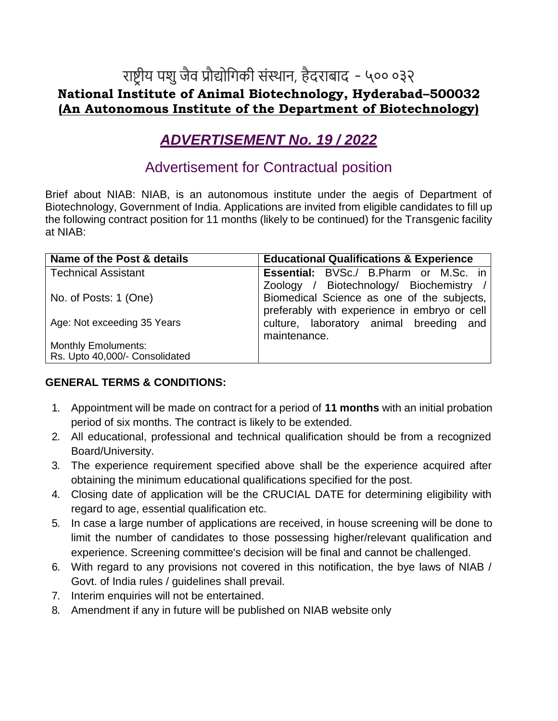## राष्ट्रीय पशु जैव प्रौद्योगिकी संस्थान, हैदराबाद - ५०० ०३२ **National Institute of Animal Biotechnology, Hyderabad–500032 (An Autonomous Institute of the Department of Biotechnology)**

# *ADVERTISEMENT No. 19 / 2022*

### Advertisement for Contractual position

Brief about NIAB: NIAB, is an autonomous institute under the aegis of Department of Biotechnology, Government of India. Applications are invited from eligible candidates to fill up the following contract position for 11 months (likely to be continued) for the Transgenic facility at NIAB:

| Name of the Post & details     | <b>Educational Qualifications &amp; Experience</b> |
|--------------------------------|----------------------------------------------------|
| <b>Technical Assistant</b>     | <b>Essential:</b> BVSc./ B.Pharm or M.Sc. in       |
|                                | Zoology / Biotechnology/ Biochemistry /            |
| No. of Posts: 1 (One)          | Biomedical Science as one of the subjects,         |
|                                | preferably with experience in embryo or cell       |
| Age: Not exceeding 35 Years    | culture, laboratory animal breeding and            |
|                                | maintenance.                                       |
| <b>Monthly Emoluments:</b>     |                                                    |
| Rs. Upto 40,000/- Consolidated |                                                    |

#### **GENERAL TERMS & CONDITIONS:**

- 1. Appointment will be made on contract for a period of **11 months** with an initial probation period of six months. The contract is likely to be extended.
- 2. All educational, professional and technical qualification should be from a recognized Board/University.
- 3. The experience requirement specified above shall be the experience acquired after obtaining the minimum educational qualifications specified for the post.
- 4. Closing date of application will be the CRUCIAL DATE for determining eligibility with regard to age, essential qualification etc.
- 5. In case a large number of applications are received, in house screening will be done to limit the number of candidates to those possessing higher/relevant qualification and experience. Screening committee's decision will be final and cannot be challenged.
- 6. With regard to any provisions not covered in this notification, the bye laws of NIAB / Govt. of India rules / guidelines shall prevail.
- 7. Interim enquiries will not be entertained.
- 8. Amendment if any in future will be published on NIAB website only